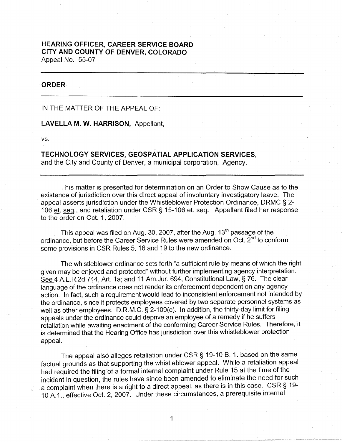## **HEARING OFFICER, CAREER SERVICE BOARD CITY AND COUNTY OF DENVER, COLORADO**  Appeal No. 55-07

## **ORDER**

IN THE MATTER OF THE APPEAL OF:

**LAVELLA M. W. HARRISON,** Appellant,

vs.

**TECHNOLOGY SERVICES, GEOSPATIAL APPLICATION SERVICES,**  and the City and County of Denver, a municipal corporation, Agency.

This matter is presented for determination on an Order to Show Cause as to the existence of jurisdiction over this direct appeal of involuntary investigatory leave. The appeal asserts jurisdiction under the Whistleblower Protection Ordinance, DRMC § 2- 106 et. seq., and retaliation under CSR§ 15-106 et. seq. Appellant filed her response to the order on Oct. 1, 2007.

This appeal was filed on Aug. 30, 2007, after the Aug.  $13<sup>th</sup>$  passage of the ordinance, but before the Career Service Rules were amended on Oct. 2<sup>nd</sup> to conform some provisions in CSR Rules 5, 16 and 19 to the new ordinance.

The whistleblower ordinance sets forth "a sufficient rule by means of which the right given may be enjoyed and protected" without further implementing agency interpretation. See 4 A.L.R.2d 744, Art. 1a; and 11 Am.Jur. 694, Constitutional Law,§ 76. The clear language of the ordinance does not render its enforcement dependent on any agency action. In fact, such a requirement would lead to inconsistent enforcement not intended by the ordinance, since it protects employees covered by two separate personnel systems as well as other employees. D.R.M.C. § 2-109(c). In addition, the thirty-day limit for filing appeals under the ordinance could deprive an employee of a remedy if he suffers retaliation while awaiting enactment of the conforming Career Service Rules. Therefore, it is determined that the Hearing Office has jurisdiction over this whistleblower protection appeal.

The appeal also alleges retaliation under CSR § 19-10 B. 1. based on the same factual grounds as that supporting the whistleblower appeal. While a retaliation appeal had required the filing of a formal internal complaint under Rule 15 at the time of the incident in question, the rules have since been amended to eliminate the need for such a complaint when there is a right to a direct appeal, as there is in this case. CSR § 19- 1 O A.1., effective Oct. 2, 2007. Under these circumstances, a prerequisite internal